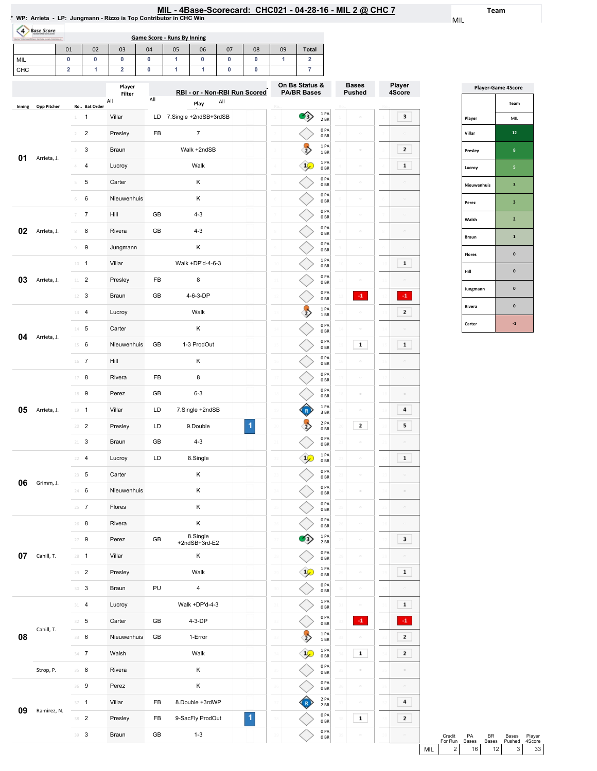| IL - 4Base-Scorecard: CHC021 - 04-28-16 - MIL 2 @ CHC ; |  |  |  |  |  |
|---------------------------------------------------------|--|--|--|--|--|
|---------------------------------------------------------|--|--|--|--|--|

Team

MIL

| (4)<br><b>Base Score</b>     |                         |                |                         |         |                                    |                               |         |         |                 |                                         |                         |                               |                  |
|------------------------------|-------------------------|----------------|-------------------------|---------|------------------------------------|-------------------------------|---------|---------|-----------------|-----------------------------------------|-------------------------|-------------------------------|------------------|
|                              |                         |                |                         |         | <b>Game Score - Runs By Inning</b> |                               |         |         |                 |                                         |                         |                               |                  |
| MIL                          | 01<br>0                 | 02<br>0        | 03<br>0                 | 04<br>0 | 05<br>1                            | 06<br>0                       | 07<br>0 | 08<br>0 | 09<br>1         | <b>Total</b><br>$\overline{\mathbf{2}}$ |                         |                               |                  |
| CHC                          | $\overline{\mathbf{2}}$ | 1              | $\overline{\mathbf{2}}$ | 0       | 1                                  | 1                             | 0       | 0       |                 | $\overline{7}$                          |                         |                               |                  |
|                              |                         |                | Player<br>Filter        | All     |                                    | RBI - or - Non-RBI Run Scored |         |         |                 | On Bs Status &<br><b>PA/BR Bases</b>    |                         | <b>Bases</b><br><b>Pushed</b> | Player<br>4Score |
| <b>Opp Pitcher</b><br>Inning |                         | Ro Bat Order   | All                     |         |                                    | Play                          | All     |         |                 |                                         | 1PA                     |                               |                  |
|                              | $\perp$                 | 1              | Villar                  | LD      |                                    | 7.Single +2ndSB+3rdSB         |         |         |                 | $\left( \frac{1}{2} \right)$            | 2 BR<br>0PA             | $\Box$                        |                  |
|                              | $\overline{2}$          | $\overline{2}$ | Presley                 | FB      |                                    | $\overline{7}$                |         |         |                 |                                         | 0 <sub>BR</sub><br>1 PA | $\bar{a}$                     |                  |
| 01<br>Arrieta, J.            | 3                       | 3              | Braun                   |         |                                    | Walk +2ndSB                   |         |         |                 | $\overline{2}$                          | 1 BR                    | $\overline{\phantom{a}}$      |                  |
|                              | $\Delta$                | 4              | Lucroy                  |         |                                    | Walk                          |         |         |                 |                                         | 1PA<br>0 <sub>BR</sub>  | $\circ$                       |                  |
|                              | 5                       | 5              | Carter                  |         |                                    | Κ                             |         |         |                 |                                         | 0PA<br>0 <sub>BR</sub>  | $\Box$                        |                  |
|                              | 6                       | 6              | Nieuwenhuis             |         |                                    | Κ                             |         |         |                 |                                         | 0PA<br>0 <sub>BR</sub>  | $\Box$                        |                  |
|                              | 7                       | $\overline{7}$ | Hill                    | GB      |                                    | $4 - 3$                       |         |         |                 |                                         | 0PA<br>0 <sub>BR</sub>  | $\hskip10mm\Box$              |                  |
| 02<br>Arrieta, J.            | $\,$ $\,$               | 8              | Rivera                  | GB      |                                    | $4 - 3$                       |         |         |                 |                                         | 0 PA<br>0 <sub>BR</sub> | $\Box$                        |                  |
|                              | $\mathcal G$            | 9              | Jungmann                |         |                                    | Κ                             |         |         | $\circ$         |                                         | 0 PA<br>0 <sub>BR</sub> | $\hfill \square$              |                  |
|                              |                         | $10 - 1$       | Villar                  |         |                                    | Walk +DP'd-4-6-3              |         |         | $\overline{10}$ |                                         | 1 PA<br>0 <sub>BR</sub> | $\Box$                        |                  |
| 03<br>Arrieta, J.            | 11                      | $\overline{2}$ | Presley                 | FB      |                                    | 8                             |         |         | $\overline{11}$ |                                         | 0PA<br>0 <sub>BR</sub>  | $\circ$                       |                  |
|                              | 12                      | 3              | Braun                   | GB      |                                    | 4-6-3-DP                      |         |         | 12              |                                         | 0PA<br>0 <sub>BR</sub>  | $-1$                          |                  |
|                              | 13                      | $\overline{4}$ | Lucroy                  |         |                                    | Walk                          |         |         | 13              | $\overline{2}$                          | 1PA<br>1 BR             | $\bar{a}$                     |                  |
|                              |                         | $14$ 5         | Carter                  |         |                                    | Κ                             |         |         | 14              |                                         | 0PA                     | $\equiv$                      |                  |
| 04<br>Arrieta, J.            | 15                      | 6              | Nieuwenhuis             | GB      |                                    | 1-3 ProdOut                   |         |         |                 |                                         | 0 <sub>BR</sub><br>0PA  | $\mathbf 1$                   |                  |
|                              |                         | $\overline{7}$ | Hill                    |         |                                    | Κ                             |         |         |                 |                                         | 0 <sub>BR</sub><br>0PA  | $\overline{\phantom{0}}$      |                  |
|                              | 16                      |                |                         |         |                                    |                               |         |         | 16              |                                         | 0 <sub>BR</sub><br>0 PA |                               |                  |
|                              | 17                      | 8              | Rivera                  | FB      |                                    | 8                             |         |         |                 |                                         | 0 <sub>BR</sub><br>0PA  | $\overline{a}$                |                  |
|                              | 18                      | 9              | Perez                   | GB      |                                    | $6 - 3$                       |         |         | 18              |                                         | 0 <sub>BR</sub><br>1 PA | $\circ$                       |                  |
| 05<br>Arrieta, J.            |                         | $19 - 1$       | Villar                  | LD      |                                    | 7.Single +2ndSB               |         |         | 19              |                                         | 3 BR                    | $\qquad \qquad \Box$          |                  |
|                              | 20                      | $\overline{2}$ | Presley                 | LD      |                                    | 9.Double                      |         | 1       |                 | $\frac{2}{3}$                           | 2 PA<br>0 <sub>BR</sub> | 2                             |                  |
|                              |                         | $21 \t3$       | Braun                   | GB      |                                    | $4 - 3$                       |         |         |                 |                                         | 0 PA<br>0 <sub>BR</sub> |                               |                  |
|                              | 22                      | $\overline{4}$ | Lucroy                  | LD      |                                    | 8.Single                      |         |         | $^{22}$         | $\frac{1}{2}$                           | 1PA<br>0 <sub>BR</sub>  | $\bar{a}$                     |                  |
| 06                           |                         | $23 - 5$       | Carter                  |         |                                    | Κ                             |         |         | 23              |                                         | 0PA<br>0 <sub>BR</sub>  | $\equiv$                      |                  |
| Grimm, J.                    |                         | 24 6           | Nieuwenhuis             |         |                                    | Κ                             |         |         | 24              |                                         | 0PA<br>0 <sub>BR</sub>  | $\hfill \square$              |                  |
|                              |                         | $25 - 7$       | Flores                  |         |                                    | Κ                             |         |         | 25              |                                         | 0PA<br>0B               | $\hfill \square$              |                  |
|                              | 26                      | 8              | Rivera                  |         |                                    | Κ                             |         |         | 26              |                                         | 0PA<br>0 <sub>BR</sub>  | $\hfill \square$              |                  |
|                              | 27                      | 9              | Perez                   | GB      |                                    | 8.Single<br>+2ndSB+3rd-E2     |         |         | 27              | $\hat{B}$                               | 1PA<br>2 BR             | $\hfill \square$              |                  |
| 07<br>Cahill, T.             |                         | $28 - 1$       | Villar                  |         |                                    | Κ                             |         |         | 28              |                                         | 0PA<br>0 <sub>BR</sub>  | $\equiv$                      |                  |
|                              | 29                      | $\overline{2}$ | Presley                 |         |                                    | Walk                          |         |         | 29              | $\frac{1}{2}$                           | 1PA<br>0 <sub>BR</sub>  | $\hfill \square$              |                  |
|                              | 30                      | $\mathbf{3}$   | Braun                   | PU      |                                    | $\overline{\mathbf{4}}$       |         |         | 30              |                                         | 0PA                     | $\equiv$                      |                  |
|                              | 31                      | $\overline{4}$ | Lucroy                  |         |                                    | Walk +DP'd-4-3                |         |         |                 |                                         | 0 <sub>BR</sub><br>1PA  | $\Box$                        |                  |
|                              | 32                      | 5              | Carter                  | GB      |                                    | 4-3-DP                        |         |         | 32              |                                         | 0 <sub>BR</sub><br>0PA  | $^{\circ1}$                   | $\cdot$ 1        |
| Cahill, T.<br>08             |                         |                | Nieuwenhuis             | GB      |                                    | 1-Error                       |         |         |                 |                                         | 0 <sub>BR</sub><br>1PA  | ö                             |                  |
|                              |                         | 33 6           |                         |         |                                    |                               |         |         | 33              |                                         | 1 BR<br>1PA             |                               |                  |
|                              |                         | $34 - 7$       | Walsh                   |         |                                    | Walk                          |         |         | 34              | $\frac{1}{2}$                           | 0B<br>0PA               | $\mathbf 1$                   |                  |
| Strop, P.                    |                         | $35 - 8$       | Rivera                  |         |                                    | Κ                             |         |         | 35              |                                         | 0 <sub>BR</sub>         | $\Box$                        |                  |

**09** Ramirez, N.  $\frac{1}{38}$  2

37 1 Villar FB 8.Double+3rdWP

39 3 Braun GB 1-3

Presley FB 9-SacFly ProdOut

1

2PA 2BR 0PA 0BR 0PA 0BR

R

 $\overline\diamond$ 

 $\Diamond$ 

 $\sim$ 

 $\boxed{\phantom{1}1}$ 

 $\begin{array}{|c|} \hline \end{array}$  4

 $\boxed{2}$ 

| <b>Player-Game 4Score</b> |                |  |  |  |  |  |  |  |  |
|---------------------------|----------------|--|--|--|--|--|--|--|--|
|                           | Team           |  |  |  |  |  |  |  |  |
| Player                    | MIL            |  |  |  |  |  |  |  |  |
| Villar                    | 12             |  |  |  |  |  |  |  |  |
| Presley                   | 8              |  |  |  |  |  |  |  |  |
| Lucroy                    | 5              |  |  |  |  |  |  |  |  |
| Nieuwenhuis               | 3              |  |  |  |  |  |  |  |  |
| Perez                     | 3              |  |  |  |  |  |  |  |  |
| Walsh                     | $\overline{2}$ |  |  |  |  |  |  |  |  |
| Braun                     | $\mathbf{1}$   |  |  |  |  |  |  |  |  |
| <b>Flores</b>             | $\bf{0}$       |  |  |  |  |  |  |  |  |
| Hill                      | $\mathbf{0}$   |  |  |  |  |  |  |  |  |
| Jungmann                  | $\mathbf{0}$   |  |  |  |  |  |  |  |  |
| Rivera                    | $\mathbf{0}$   |  |  |  |  |  |  |  |  |
| Carter                    | $-1$           |  |  |  |  |  |  |  |  |

|     | Credit<br>For Run | PA<br><b>Bases</b> | <b>BR</b><br>Bases | Bases<br>Pushed | Player<br>4Score |
|-----|-------------------|--------------------|--------------------|-----------------|------------------|
| MII | 2                 | 16                 | 12 <sub>1</sub>    | 3               | 33               |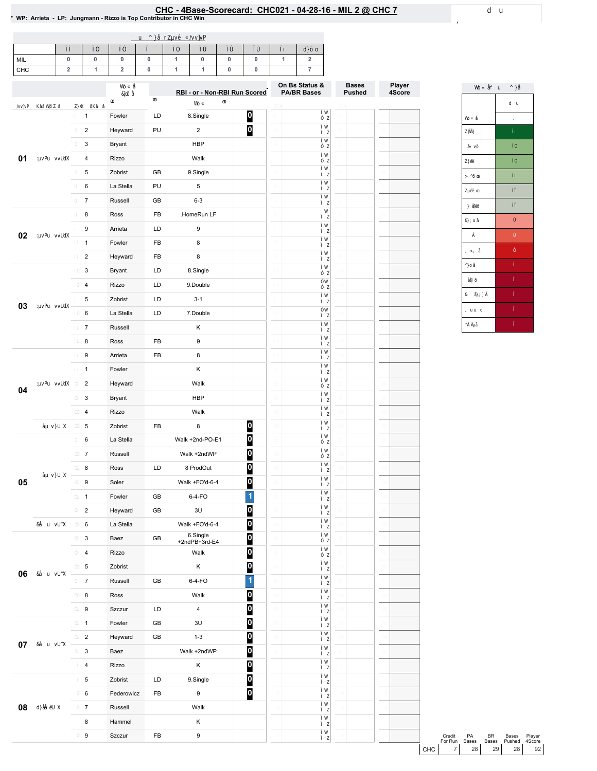### EHC - 4Base-Scorecard: CHC021 - 04-28-16 - MIL 2 @ CHC 7<br>\* WP: Arrieta - LP: Jungmann - Rizzo is Top Contributor in CHC Win

| MIL |  |  |  |  |  |
|-----|--|--|--|--|--|
| CHC |  |  |  |  |  |

|    |                         |            |            | RBI - or - Non-RBI Run Scored |                         | On Bs Status &<br><b>PA/BR Bases</b> | <b>Bases</b><br><b>Pushed</b> | Player<br>4Score |
|----|-------------------------|------------|------------|-------------------------------|-------------------------|--------------------------------------|-------------------------------|------------------|
|    |                         |            |            |                               |                         |                                      |                               |                  |
|    | $\mathbf{1}$            | Fowler     | LD         | 8.Single                      | $\overline{\mathbf{0}}$ |                                      |                               |                  |
|    | $\overline{c}$          | Heyward    | PU         | $\overline{2}$                | O                       |                                      |                               |                  |
|    | 3                       | Bryant     |            | <b>HBP</b>                    |                         |                                      |                               |                  |
| 01 | 4                       | Rizzo      |            | Walk                          |                         |                                      |                               |                  |
|    | 5                       | Zobrist    | GB         | 9.Single                      |                         |                                      |                               |                  |
|    | 6                       | La Stella  | PU         | 5                             |                         |                                      |                               |                  |
|    | $\overline{7}$          | Russell    | GB         | $6 - 3$                       |                         |                                      |                               |                  |
|    | 8                       | Ross       | FB         | .HomeRun LF                   |                         |                                      |                               |                  |
|    | 9                       | Arrieta    | LD         | 9                             |                         |                                      |                               |                  |
| 02 | $\mathbf{1}$            | Fowler     | FB         | 8                             |                         |                                      |                               |                  |
|    | $\overline{c}$          | Heyward    | FB         | 8                             |                         |                                      |                               |                  |
|    | 3                       | Bryant     | LD         | 8.Single                      |                         |                                      |                               |                  |
|    | $\overline{\mathbf{4}}$ | Rizzo      | LD         | 9.Double                      |                         |                                      |                               |                  |
|    | 5                       | Zobrist    | LD         | $3 - 1$                       |                         |                                      |                               |                  |
| 03 | 6                       | La Stella  | LD         | 7.Double                      |                         |                                      |                               |                  |
|    | $\boldsymbol{7}$        | Russell    |            | Κ                             |                         |                                      |                               |                  |
|    | 8                       | Ross       | FB         | 9                             |                         |                                      |                               |                  |
|    | 9                       | Arrieta    | FB         | 8                             |                         |                                      |                               |                  |
|    | $\mathbf{1}$            | Fowler     |            | Κ                             |                         |                                      |                               |                  |
|    | $\overline{c}$          | Heyward    |            | Walk                          |                         |                                      |                               |                  |
| 04 | 3                       | Bryant     |            | <b>HBP</b>                    |                         |                                      |                               |                  |
|    | 4                       | Rizzo      |            | Walk                          |                         |                                      |                               |                  |
|    | 5                       | Zobrist    | FB         | 8                             | $\boldsymbol{0}$        |                                      |                               |                  |
|    | 6                       | La Stella  |            | Walk +2nd-PO-E1               | $\overline{\mathbf{0}}$ |                                      |                               |                  |
|    | $\boldsymbol{7}$        | Russell    |            | Walk +2ndWP                   | 0                       |                                      |                               |                  |
|    | 8                       | Ross       | LD         | 8 ProdOut                     | $\overline{\mathbf{0}}$ |                                      |                               |                  |
| 05 | 9                       | Soler      |            | Walk +FO'd-6-4                | $\overline{\mathbf{0}}$ |                                      |                               |                  |
|    | $\mathbf{1}$            | Fowler     | GB         | $6-4-FO$                      | $\overline{\mathbf{1}}$ |                                      |                               |                  |
|    | $\overline{c}$          | Heyward    | GB         | 3U                            | $\overline{\mathsf{p}}$ |                                      |                               |                  |
|    | 6                       | La Stella  |            | Walk +FO'd-6-4                | O                       |                                      |                               |                  |
|    | 3                       | Baez       | GB         | 6.Single<br>+2ndPB+3rd-E4     | $\boldsymbol{0}$        |                                      |                               |                  |
|    | 4                       | Rizzo      |            | Walk                          | $\boldsymbol{0}$        |                                      |                               |                  |
|    | 5                       | Zobrist    |            | Κ                             | $\boldsymbol{0}$        |                                      |                               |                  |
| 06 | $\overline{7}$          | Russell    | GB         | 6-4-FO                        | 1                       |                                      |                               |                  |
|    | 8                       | Ross       |            | Walk                          | $\boldsymbol{0}$        |                                      |                               |                  |
|    | 9                       | Szczur     | LD         | $\overline{4}$                | $\boldsymbol{0}$        |                                      |                               |                  |
|    | $\mathbf{1}$            | Fowler     | GB         | 3U                            | $\mathbf{0}$            |                                      |                               |                  |
|    | $\overline{c}$          | Heyward    | GB         | $1 - 3$                       | 0                       |                                      |                               |                  |
| 07 | 3                       | Baez       |            | Walk +2ndWP                   | $\overline{\mathbf{0}}$ |                                      |                               |                  |
|    | 4                       | Rizzo      |            | Κ                             | 0                       |                                      |                               |                  |
|    | 5                       | Zobrist    | LD         | 9.Single                      | 0                       |                                      |                               |                  |
|    | 6                       | Federowicz | FB         | 9                             | $\overline{\mathbf{0}}$ |                                      |                               |                  |
| 08 | $\overline{7}$          | Russell    |            | Walk                          |                         |                                      |                               |                  |
|    | 8                       | Hammel     |            | Κ                             |                         |                                      |                               |                  |
|    | 9                       | Szczur     | ${\sf FB}$ | $\boldsymbol{9}$              |                         |                                      |                               |                  |
|    |                         |            |            |                               |                         |                                      |                               |                  |



|       | Credit  | <b>PA</b>       | RR    | <b>Bases</b> | Player          |
|-------|---------|-----------------|-------|--------------|-----------------|
|       | For Run | <b>Bases</b>    | Bases | Pushed       | 4Score          |
| снс I |         | 28 <sub>1</sub> | 29    | 28           | 92 <sub>1</sub> |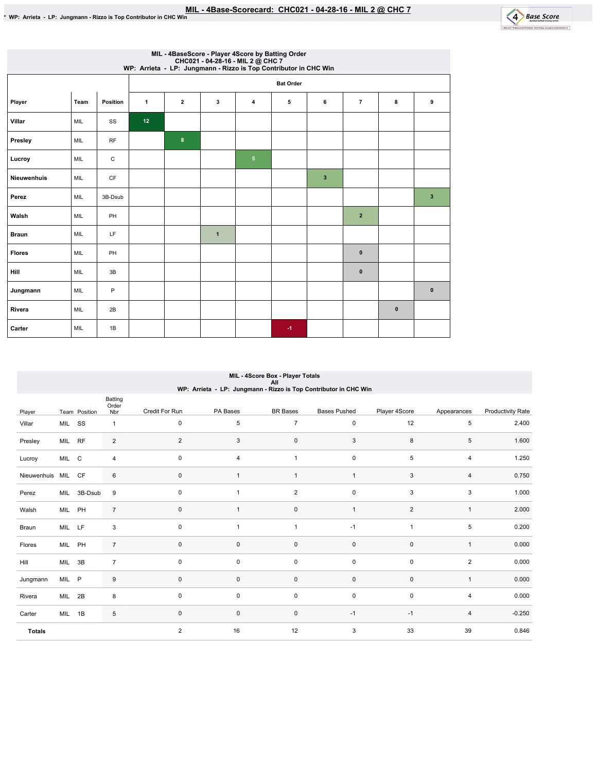

|                    | MIL - 4BaseScore - Player 4Score by Batting Order<br>CHC021 - 04-28-16 - MIL 2 @ CHC 7<br>WP: Arrieta - LP: Jungmann - Rizzo is Top Contributor in CHC Win |          |              |                  |              |                |      |              |                |          |              |  |  |  |
|--------------------|------------------------------------------------------------------------------------------------------------------------------------------------------------|----------|--------------|------------------|--------------|----------------|------|--------------|----------------|----------|--------------|--|--|--|
|                    |                                                                                                                                                            |          |              | <b>Bat Order</b> |              |                |      |              |                |          |              |  |  |  |
| Player             | Team                                                                                                                                                       | Position | $\mathbf{1}$ | $\overline{2}$   | 3            | 4              | 5    | 6            | $\overline{7}$ | 8        | 9            |  |  |  |
| Villar             | MIL                                                                                                                                                        | SS       | 12           |                  |              |                |      |              |                |          |              |  |  |  |
| Presley            | MIL                                                                                                                                                        | RF       |              | 8                |              |                |      |              |                |          |              |  |  |  |
| Lucroy             | MIL                                                                                                                                                        | C        |              |                  |              | 5 <sub>5</sub> |      |              |                |          |              |  |  |  |
| <b>Nieuwenhuis</b> | MIL                                                                                                                                                        | CF       |              |                  |              |                |      | $\mathbf{3}$ |                |          |              |  |  |  |
| Perez              | MIL                                                                                                                                                        | 3B-Dsub  |              |                  |              |                |      |              |                |          | $\mathbf{3}$ |  |  |  |
| Walsh              | MIL                                                                                                                                                        | PH       |              |                  |              |                |      |              | $\overline{2}$ |          |              |  |  |  |
| <b>Braun</b>       | MIL                                                                                                                                                        | LF       |              |                  | $\mathbf{1}$ |                |      |              |                |          |              |  |  |  |
| <b>Flores</b>      | MIL                                                                                                                                                        | PH       |              |                  |              |                |      |              | $\bf{0}$       |          |              |  |  |  |
| Hill               | MIL                                                                                                                                                        | 3B       |              |                  |              |                |      |              | $\pmb{0}$      |          |              |  |  |  |
| Jungmann           | MIL                                                                                                                                                        | P        |              |                  |              |                |      |              |                |          | $\mathbf 0$  |  |  |  |
| Rivera             | MIL                                                                                                                                                        | 2B       |              |                  |              |                |      |              |                | $\bf{0}$ |              |  |  |  |
| Carter             | MIL                                                                                                                                                        | 1B       |              |                  |              |                | $-1$ |              |                |          |              |  |  |  |

# MIL-4ScoreBox-PlayerTotals All WP:Arrieta-LP:Jungmann-RizzoisTopContributorinCHCWin

|                 |        |               | Batting<br>Order |                |             |                 |                     |                |                |                          |
|-----------------|--------|---------------|------------------|----------------|-------------|-----------------|---------------------|----------------|----------------|--------------------------|
| Player          |        | Team Position | Nbr              | Credit For Run | PA Bases    | <b>BR</b> Bases | <b>Bases Pushed</b> | Player 4Score  | Appearances    | <b>Productivity Rate</b> |
| Villar          | MIL SS |               | $\mathbf{1}$     | $\mathbf 0$    | 5           | $\overline{7}$  | $\mathsf 0$         | 12             | 5              | 2.400                    |
| Presley         | MIL RF |               | 2                | $\overline{2}$ | 3           | $\pmb{0}$       | 3                   | 8              | 5              | 1.600                    |
| Lucroy          | MIL C  |               | $\overline{4}$   | $\mathbf 0$    | 4           | $\mathbf{1}$    | $\mathbf 0$         | 5              | 4              | 1.250                    |
| Nieuwenhuis MIL |        | <b>CF</b>     | 6                | $\mathbf 0$    | 1           | $\mathbf{1}$    | $\overline{1}$      | 3              | 4              | 0.750                    |
| Perez           |        | MIL 3B-Dsub   | 9                | $\mathbf 0$    | 1           | $\sqrt{2}$      | $\mathbf 0$         | 3              | 3              | 1.000                    |
| Walsh           | MIL PH |               | $\overline{7}$   | $\mathbf{0}$   |             | $\pmb{0}$       | $\overline{1}$      | $\overline{2}$ | $\mathbf{1}$   | 2.000                    |
| Braun           | MIL LF |               | 3                | $\mathbf 0$    | 1           | 1               | $-1$                | $\overline{1}$ | 5              | 0.200                    |
| Flores          | MIL PH |               | $\overline{7}$   | $\mathbf 0$    | 0           | $\pmb{0}$       | 0                   | $\mathsf 0$    | $\mathbf{1}$   | 0.000                    |
| Hill            | MIL    | 3B            | $\overline{7}$   | $\mathbf 0$    | 0           | $\pmb{0}$       | $\mathbf 0$         | 0              | $\overline{c}$ | 0.000                    |
| Jungmann        | MIL P  |               | 9                | $\mathbf 0$    | 0           | $\pmb{0}$       | $\mathsf{O}\xspace$ | $\mathbf 0$    | $\mathbf{1}$   | 0.000                    |
| Rivera          | MIL 2B |               | 8                | $\mathbf 0$    | 0           | $\pmb{0}$       | $\mathbf 0$         | $\mathsf 0$    | 4              | 0.000                    |
| Carter          | MIL    | 1B            | 5                | $\mathbf 0$    | $\mathbf 0$ | $\pmb{0}$       | $-1$                | $-1$           | 4              | $-0.250$                 |
| <b>Totals</b>   |        |               |                  | 2              | 16          | 12              | 3                   | 33             | 39             | 0.846                    |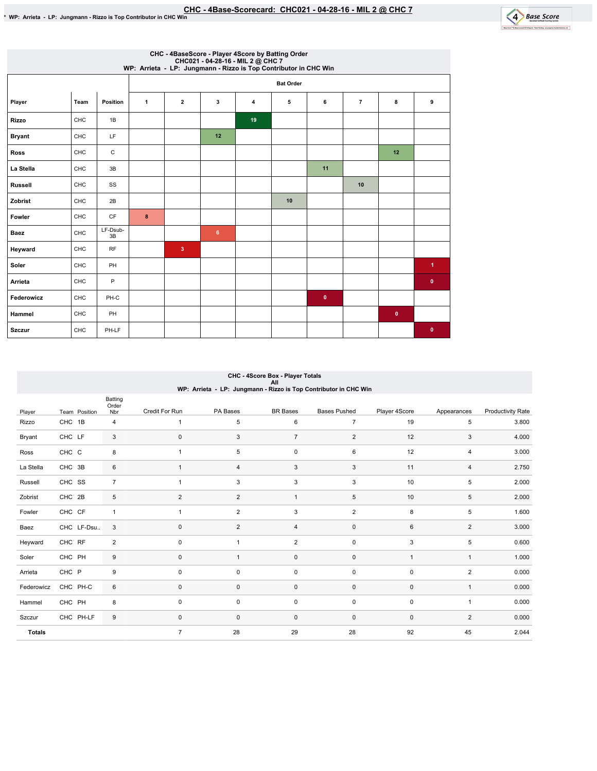

|                |            |                |              |                         |    |    | CHC - 4BaseScore - Player 4Score by Batting Order<br>CHC021 - 04-28-16 - MIL 2 @ CHC 7<br>WP: Arrieta - LP: Jungmann - Rizzo is Top Contributor in CHC Win |              |                |           |                      |
|----------------|------------|----------------|--------------|-------------------------|----|----|------------------------------------------------------------------------------------------------------------------------------------------------------------|--------------|----------------|-----------|----------------------|
|                |            |                |              |                         |    |    | <b>Bat Order</b>                                                                                                                                           |              |                |           |                      |
| Player         | Team       | Position       | $\mathbf{1}$ | $\overline{2}$          | 3  | 4  | 5                                                                                                                                                          | 6            | $\overline{7}$ | 8         | 9                    |
| <b>Rizzo</b>   | <b>CHC</b> | 1B             |              |                         |    | 19 |                                                                                                                                                            |              |                |           |                      |
| <b>Bryant</b>  | CHC        | LF             |              |                         | 12 |    |                                                                                                                                                            |              |                |           |                      |
| <b>Ross</b>    | CHC        | C              |              |                         |    |    |                                                                                                                                                            |              |                | 12        |                      |
| La Stella      | CHC        | 3B             |              |                         |    |    |                                                                                                                                                            | 11           |                |           |                      |
| <b>Russell</b> | CHC        | SS             |              |                         |    |    |                                                                                                                                                            |              | 10             |           |                      |
| Zobrist        | CHC        | 2B             |              |                         |    |    | 10                                                                                                                                                         |              |                |           |                      |
| Fowler         | CHC        | CF             | 8            |                         |    |    |                                                                                                                                                            |              |                |           |                      |
| <b>Baez</b>    | CHC        | LF-Dsub-<br>3B |              |                         | 6  |    |                                                                                                                                                            |              |                |           |                      |
| Heyward        | CHC        | <b>RF</b>      |              | $\overline{\mathbf{3}}$ |    |    |                                                                                                                                                            |              |                |           |                      |
| Soler          | CHC        | PH             |              |                         |    |    |                                                                                                                                                            |              |                |           | $\blacktriangleleft$ |
| Arrieta        | CHC        | P              |              |                         |    |    |                                                                                                                                                            |              |                |           | $\mathbf 0$          |
| Federowicz     | CHC        | PH-C           |              |                         |    |    |                                                                                                                                                            | $\mathbf{0}$ |                |           |                      |
| Hammel         | CHC        | PH             |              |                         |    |    |                                                                                                                                                            |              |                | $\pmb{0}$ |                      |
| <b>Szczur</b>  | CHC        | PH-LF          |              |                         |    |    |                                                                                                                                                            |              |                |           | $\mathbf{0}$         |

## CHC-4ScoreBox-PlayerTotals All WP:Arrieta-LP:Jungmann-RizzoisTopContributorinCHCWin

|               |               | Batting<br>Order |                |                |                 |                     |                |                |                          |
|---------------|---------------|------------------|----------------|----------------|-----------------|---------------------|----------------|----------------|--------------------------|
| Player        | Team Position | Nbr              | Credit For Run | PA Bases       | <b>BR</b> Bases | <b>Bases Pushed</b> | Player 4Score  | Appearances    | <b>Productivity Rate</b> |
| Rizzo         | CHC 1B        | 4                | $\mathbf{1}$   | 5              | 6               | $\overline{7}$      | 19             | 5              | 3.800                    |
| Bryant        | CHC LF        | 3                | $\mathbf 0$    | 3              | $\overline{7}$  | $\overline{2}$      | 12             | 3              | 4.000                    |
| Ross          | CHC C         | 8                | 1              | 5              | $\pmb{0}$       | 6                   | 12             | 4              | 3.000                    |
| La Stella     | CHC 3B        | 6                | $\mathbf{1}$   | 4              | 3               | 3                   | 11             | $\overline{4}$ | 2.750                    |
| Russell       | CHC SS        | $\overline{7}$   | 1              | 3              | 3               | 3                   | 10             | 5              | 2.000                    |
| Zobrist       | CHC 2B        | 5                | $\overline{2}$ | $\overline{2}$ | $\mathbf{1}$    | 5                   | 10             | 5              | 2.000                    |
| Fowler        | CHC CF        | $\mathbf{1}$     | $\mathbf{1}$   | $\overline{2}$ | 3               | $\overline{2}$      | 8              | 5              | 1.600                    |
| Baez          | CHC LF-Dsu    | 3                | 0              | $\overline{2}$ | 4               | $\mathbf 0$         | 6              | $\overline{2}$ | 3.000                    |
| Heyward       | CHC RF        | $\overline{2}$   | $\pmb{0}$      | 1              | $\overline{c}$  | $\pmb{0}$           | 3              | 5              | 0.600                    |
| Soler         | CHC PH        | 9                | $\pmb{0}$      | $\mathbf{1}$   | $\mathsf 0$     | $\mathsf 0$         | $\overline{1}$ | $\mathbf{1}$   | 1.000                    |
| Arrieta       | CHC P         | 9                | $\mathbf 0$    | 0              | $\mathsf 0$     | $\mathsf 0$         | $\mathbf 0$    | $\overline{2}$ | 0.000                    |
| Federowicz    | CHC PH-C      | 6                | $\pmb{0}$      | $\mathbf 0$    | $\mathsf 0$     | $\mathsf 0$         | $\mathbf 0$    | $\mathbf{1}$   | 0.000                    |
| Hammel        | CHC PH        | 8                | $\pmb{0}$      | 0              | $\pmb{0}$       | $\mathsf 0$         | $\mathbf 0$    | $\mathbf{1}$   | 0.000                    |
| Szczur        | CHC PH-LF     | 9                | $\mathbf 0$    | $\mathbf 0$    | $\mathbf 0$     | $\mathsf 0$         | $\mathbf 0$    | $\overline{2}$ | 0.000                    |
| <b>Totals</b> |               |                  | $\overline{7}$ | 28             | 29              | 28                  | 92             | 45             | 2.044                    |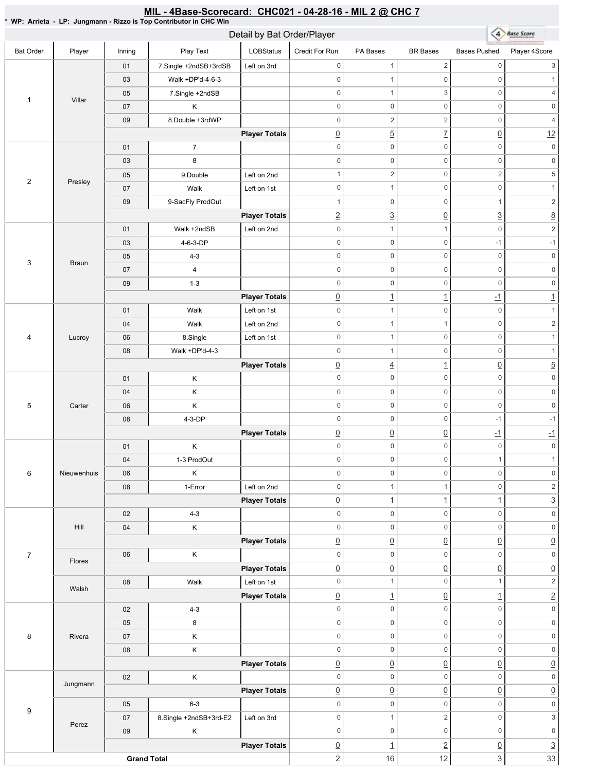#### \* WP: Arrieta - LP: Jungmann - Rizzo is Top Contributor in CHC Win 4 Base Score Detail by Bat Order/Player Bat Order | Player | Inning | PlayText | LOBStatus Credit For Run PA Bases BR Bases Bases Pushed Player 4Score 01 7.Single +2ndSB+3rdSB Left on 3rd 0 1 2 0 3 03 Walk+DP'd-4-6-3 0 0 0 1 05 7.Single +2ndSB 0 1 3 0 4 1 Villar 07 K 0 0 0 0 0 0 09 8.Double +3rdWP  $0 \qquad \qquad 2 \qquad \qquad 2 \qquad \qquad 0 \qquad \qquad 4$ **Player Totals**  $\frac{0}{2}$  5 7  $\frac{7}{2}$  0 12 0 0 0 0 0 0 01 7 03 8 0 0 0 0 0 0 05 9.Double Left on 2nd 1  $2$  0 2 5 2 Presley 07 | Walk Left on 1st 0 0 1 0 1 09 9-SacFly ProdOut 1 0 0 1 2 **Player Totals** 2 3 0 3 8 01 Walk +2ndSB Left on 2nd 0 1 1 0 2 03 4-6-3-DP 0 0 -1 -1 05 4-3 0 0 0 0 0 0 3 Braun 07 4 0 0 0 0 0 0 09 1-3 0 0 0 0 0 0 **Player Totals**  $\boxed{0}$   $\boxed{1}$   $\boxed{1}$   $\boxed{1}$   $\boxed{1}$ 01 | Walk Left on 1st 0 0 1 0 1 04 | Walk Left on 2nd 0 1 1 0 2 4 Lucroy 06 | 8.Single | Left on 1st 0 0 1 0 1 08 | Walk +DP'd-4-3 0 0 0 1 **Player Totals**  $\boxed{0}$  4  $\boxed{1}$   $\boxed{0}$  5 0 0 0 0 0 0 01 K 04 K 0 0 0 0 0 0 5 Carter 06 K 0 0 0 0 0 0 08 4-3-DP 0 0 -1 -1 **Player Totals** 0 0 0 -1 -1 01 K 0 0 0 0 0 0 04 1-3 ProdOut  $0 \qquad 0 \qquad 0 \qquad 1 \qquad 1$ 6 Nieuwenhuis 06 K 0 0 0 0 0 0 08 | 1-Error | Left on 2nd 0 1 1 0 2 **Player Totals**  $\boxed{0}$  1  $\boxed{1}$   $\boxed{1}$   $\boxed{3}$ 02 4-3 0 0 0 0 0 0 Hill 04 K 0 0 0 0 0 0 **Player Totals**  $\overline{0}$   $\overline{0}$   $\overline{0}$   $\overline{0}$   $\overline{0}$   $\overline{0}$   $\overline{0}$ 7 06 K 0 0 0 0 0 0 Flores **Player Totals** 0 0 0 0 0 08 | Walk Left on 1st 0 1 0 1 2 Walsh **Player Totals**  $\boxed{0}$  1  $\boxed{0}$  1  $\boxed{1}$  2 02 4-3 0 0 0 0 0 0 05 8 0 0 0 0 0 0 8 | Rivera 0 0 0 0 0 0 07 K 08 | K 0 0 0 0 0 0 **Player Totals**  $\overline{0}$   $\overline{0}$   $\overline{0}$   $\overline{0}$   $\overline{0}$   $\overline{0}$   $\overline{0}$ 02 K 0 0 0 0 0 0 Jungmann **Player Totals**  $\overline{0}$   $\overline{0}$   $\overline{0}$   $\overline{0}$   $\overline{0}$   $\overline{0}$   $\overline{0}$ 05 6-3 0 0 0 0 0 0 9 07 | 8.Single +2ndSB+3rd-E2 | Left on 3rd 0 1 2 0 3 Perez 0 0 0 0 0 0 09 K **Player Totals**  $\begin{array}{ccc} \boxed{0} & 1 & 2 & 0 & 3 \end{array}$ **Grand Total**  $2$  16  $12$   $33$

MIL - 4Base-Scorecard: CHC021 - 04-28-16 - MIL 2 @ CHC 7